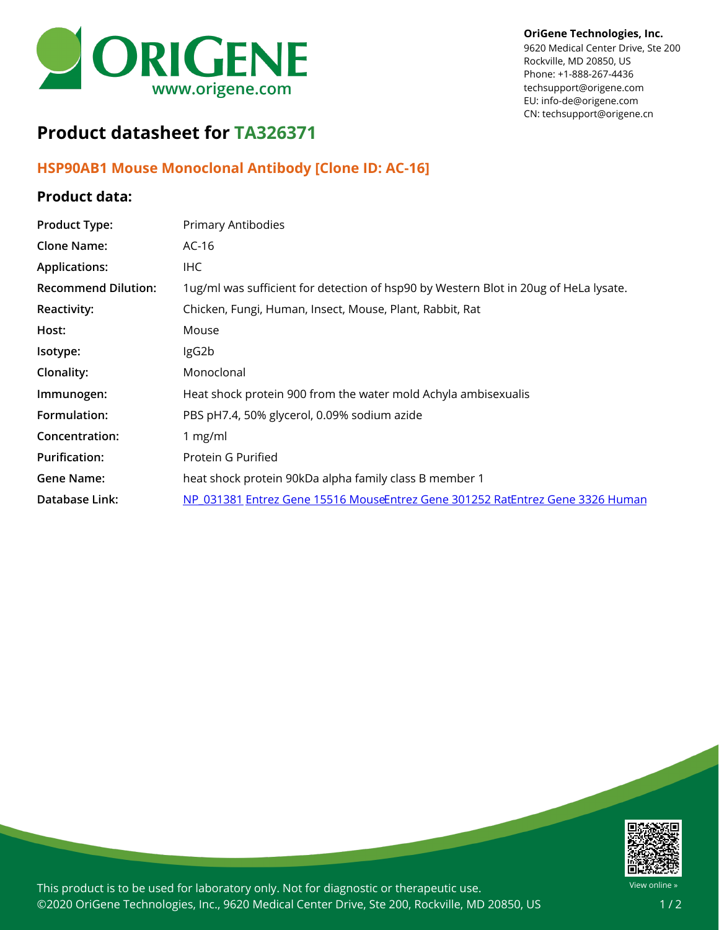

**OriGene Technologies, Inc.**

9620 Medical Center Drive, Ste 200 Rockville, MD 20850, US Phone: +1-888-267-4436 techsupport@origene.com EU: info-de@origene.com CN: techsupport@origene.cn

# **Product datasheet for TA326371**

### **HSP90AB1 Mouse Monoclonal Antibody [Clone ID: AC-16]**

#### **Product data:**

| <b>Product Type:</b>       | Primary Antibodies                                                                   |
|----------------------------|--------------------------------------------------------------------------------------|
| <b>Clone Name:</b>         | $AC-16$                                                                              |
| <b>Applications:</b>       | IHC.                                                                                 |
| <b>Recommend Dilution:</b> | 1ug/ml was sufficient for detection of hsp90 by Western Blot in 20ug of HeLa lysate. |
| <b>Reactivity:</b>         | Chicken, Fungi, Human, Insect, Mouse, Plant, Rabbit, Rat                             |
| Host:                      | Mouse                                                                                |
| Isotype:                   | IgG2b                                                                                |
| Clonality:                 | Monoclonal                                                                           |
| Immunogen:                 | Heat shock protein 900 from the water mold Achyla ambisexualis                       |
| Formulation:               | PBS pH7.4, 50% glycerol, 0.09% sodium azide                                          |
| Concentration:             | 1 $mg/ml$                                                                            |
| <b>Purification:</b>       | Protein G Purified                                                                   |
| Gene Name:                 | heat shock protein 90kDa alpha family class B member 1                               |
| Database Link:             | NP 031381 Entrez Gene 15516 MouseEntrez Gene 301252 RatEntrez Gene 3326 Human        |



This product is to be used for laboratory only. Not for diagnostic or therapeutic use. ©2020 OriGene Technologies, Inc., 9620 Medical Center Drive, Ste 200, Rockville, MD 20850, US